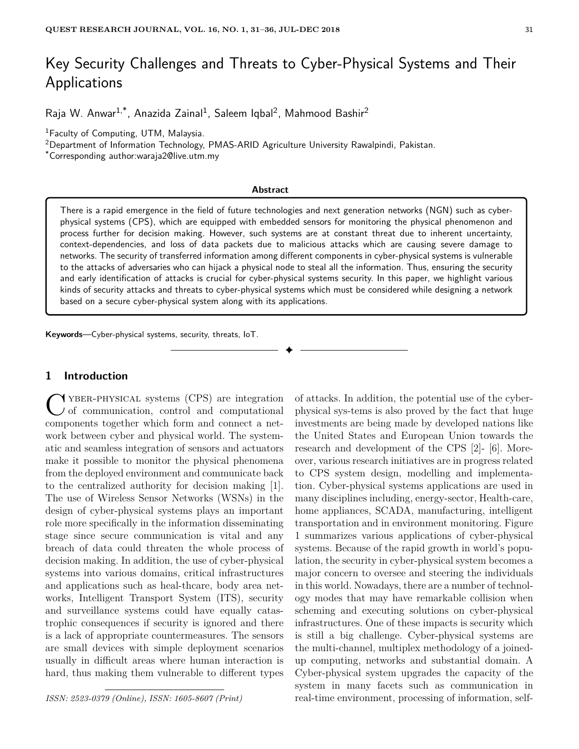# Key Security Challenges and Threats to Cyber-Physical Systems and Their Applications

Raja W. Anwar<sup>1,\*</sup>, Anazida Zainal<sup>1</sup>, Saleem Iqbal<sup>2</sup>, Mahmood Bashir<sup>2</sup>

<sup>1</sup>Faculty of Computing, UTM, Malaysia.

<sup>2</sup>Department of Information Technology, PMAS-ARID Agriculture University Rawalpindi, Pakistan.

\*Corresponding author:waraja2@live.utm.my

#### **Abstract**

There is a rapid emergence in the field of future technologies and next generation networks (NGN) such as cyberphysical systems (CPS), which are equipped with embedded sensors for monitoring the physical phenomenon and process further for decision making. However, such systems are at constant threat due to inherent uncertainty, context-dependencies, and loss of data packets due to malicious attacks which are causing severe damage to networks. The security of transferred information among different components in cyber-physical systems is vulnerable to the attacks of adversaries who can hijack a physical node to steal all the information. Thus, ensuring the security and early identification of attacks is crucial for cyber-physical systems security. In this paper, we highlight various kinds of security attacks and threats to cyber-physical systems which must be considered while designing a network based on a secure cyber-physical system along with its applications.

✦

**Keywords**—Cyber-physical systems, security, threats, IoT.

## **1 Introduction**

C YBER-PHYSICAL systems (CPS) are integration of communication, control and computational components together which form and connect a net-YBER-PHYSICAL systems (CPS) are integration I of communication, control and computational work between cyber and physical world. The systematic and seamless integration of sensors and actuators make it possible to monitor the physical phenomena from the deployed environment and communicate back to the centralized authority for decision making [1]. The use of Wireless Sensor Networks (WSNs) in the design of cyber-physical systems plays an important role more specifically in the information disseminating stage since secure communication is vital and any breach of data could threaten the whole process of decision making. In addition, the use of cyber-physical systems into various domains, critical infrastructures and applications such as heal-thcare, body area networks, Intelligent Transport System (ITS), security and surveillance systems could have equally catastrophic consequences if security is ignored and there is a lack of appropriate countermeasures. The sensors are small devices with simple deployment scenarios usually in difficult areas where human interaction is hard, thus making them vulnerable to different types

*ISSN: 2523-0379 (Online), ISSN: 1605-8607 (Print)*

of attacks. In addition, the potential use of the cyberphysical sys-tems is also proved by the fact that huge investments are being made by developed nations like the United States and European Union towards the research and development of the CPS [2]- [6]. Moreover, various research initiatives are in progress related to CPS system design, modelling and implementation. Cyber-physical systems applications are used in many disciplines including, energy-sector, Health-care, home appliances, SCADA, manufacturing, intelligent transportation and in environment monitoring. Figure 1 summarizes various applications of cyber-physical systems. Because of the rapid growth in world's population, the security in cyber-physical system becomes a major concern to oversee and steering the individuals in this world. Nowadays, there are a number of technology modes that may have remarkable collision when scheming and executing solutions on cyber-physical infrastructures. One of these impacts is security which is still a big challenge. Cyber-physical systems are the multi-channel, multiplex methodology of a joinedup computing, networks and substantial domain. A Cyber-physical system upgrades the capacity of the system in many facets such as communication in real-time environment, processing of information, self-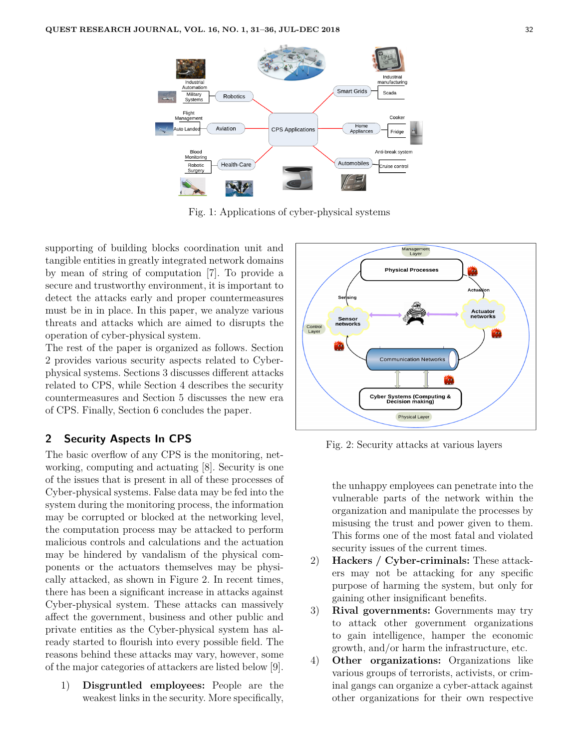

Fig. 1: Applications of cyber-physical systems

supporting of building blocks coordination unit and tangible entities in greatly integrated network domains by mean of string of computation [7]. To provide a secure and trustworthy environment, it is important to detect the attacks early and proper countermeasures must be in in place. In this paper, we analyze various threats and attacks which are aimed to disrupts the operation of cyber-physical system.

The rest of the paper is organized as follows. Section 2 provides various security aspects related to Cyberphysical systems. Sections 3 discusses different attacks related to CPS, while Section 4 describes the security countermeasures and Section 5 discusses the new era of CPS. Finally, Section 6 concludes the paper.

## **2 Security Aspects In CPS**

The basic overflow of any CPS is the monitoring, networking, computing and actuating [8]. Security is one of the issues that is present in all of these processes of Cyber-physical systems. False data may be fed into the system during the monitoring process, the information may be corrupted or blocked at the networking level, the computation process may be attacked to perform malicious controls and calculations and the actuation may be hindered by vandalism of the physical components or the actuators themselves may be physically attacked, as shown in Figure 2. In recent times, there has been a significant increase in attacks against Cyber-physical system. These attacks can massively affect the government, business and other public and private entities as the Cyber-physical system has already started to flourish into every possible field. The reasons behind these attacks may vary, however, some of the major categories of attackers are listed below [9].

1) **Disgruntled employees:** People are the weakest links in the security. More specifically,



Fig. 2: Security attacks at various layers

the unhappy employees can penetrate into the vulnerable parts of the network within the organization and manipulate the processes by misusing the trust and power given to them. This forms one of the most fatal and violated security issues of the current times.

- 2) **Hackers / Cyber-criminals:** These attackers may not be attacking for any specific purpose of harming the system, but only for gaining other insignificant benefits.
- 3) **Rival governments:** Governments may try to attack other government organizations to gain intelligence, hamper the economic growth, and/or harm the infrastructure, etc.
- 4) **Other organizations:** Organizations like various groups of terrorists, activists, or criminal gangs can organize a cyber-attack against other organizations for their own respective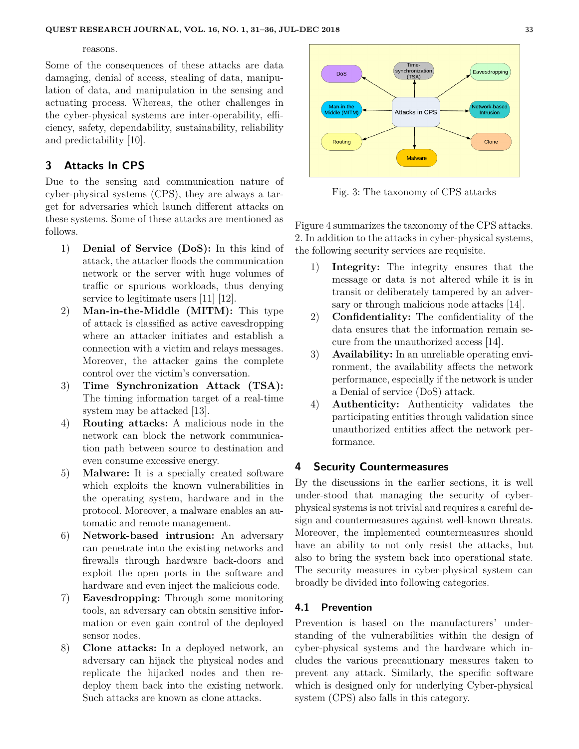#### reasons.

Some of the consequences of these attacks are data damaging, denial of access, stealing of data, manipulation of data, and manipulation in the sensing and actuating process. Whereas, the other challenges in the cyber-physical systems are inter-operability, efficiency, safety, dependability, sustainability, reliability and predictability [10].

## **3 Attacks In CPS**

Due to the sensing and communication nature of cyber-physical systems (CPS), they are always a target for adversaries which launch different attacks on these systems. Some of these attacks are mentioned as follows.

- 1) **Denial of Service (DoS):** In this kind of attack, the attacker floods the communication network or the server with huge volumes of traffic or spurious workloads, thus denying service to legitimate users [11] [12].
- 2) **Man-in-the-Middle (MITM):** This type of attack is classified as active eavesdropping where an attacker initiates and establish a connection with a victim and relays messages. Moreover, the attacker gains the complete control over the victim's conversation.
- 3) **Time Synchronization Attack (TSA):** The timing information target of a real-time system may be attacked [13].
- 4) **Routing attacks:** A malicious node in the network can block the network communication path between source to destination and even consume excessive energy.
- 5) **Malware:** It is a specially created software which exploits the known vulnerabilities in the operating system, hardware and in the protocol. Moreover, a malware enables an automatic and remote management.
- 6) **Network-based intrusion:** An adversary can penetrate into the existing networks and firewalls through hardware back-doors and exploit the open ports in the software and hardware and even inject the malicious code.
- 7) **Eavesdropping:** Through some monitoring tools, an adversary can obtain sensitive information or even gain control of the deployed sensor nodes.
- 8) **Clone attacks:** In a deployed network, an adversary can hijack the physical nodes and replicate the hijacked nodes and then redeploy them back into the existing network. Such attacks are known as clone attacks.



Fig. 3: The taxonomy of CPS attacks

Figure 4 summarizes the taxonomy of the CPS attacks. 2. In addition to the attacks in cyber-physical systems, the following security services are requisite.

- 1) **Integrity:** The integrity ensures that the message or data is not altered while it is in transit or deliberately tampered by an adversary or through malicious node attacks [14].
- 2) **Confidentiality:** The confidentiality of the data ensures that the information remain secure from the unauthorized access [14].
- 3) **Availability:** In an unreliable operating environment, the availability affects the network performance, especially if the network is under a Denial of service (DoS) attack.
- 4) **Authenticity:** Authenticity validates the participating entities through validation since unauthorized entities affect the network performance.

## **4 Security Countermeasures**

By the discussions in the earlier sections, it is well under-stood that managing the security of cyberphysical systems is not trivial and requires a careful design and countermeasures against well-known threats. Moreover, the implemented countermeasures should have an ability to not only resist the attacks, but also to bring the system back into operational state. The security measures in cyber-physical system can broadly be divided into following categories.

#### **4.1 Prevention**

Prevention is based on the manufacturers' understanding of the vulnerabilities within the design of cyber-physical systems and the hardware which includes the various precautionary measures taken to prevent any attack. Similarly, the specific software which is designed only for underlying Cyber-physical system (CPS) also falls in this category.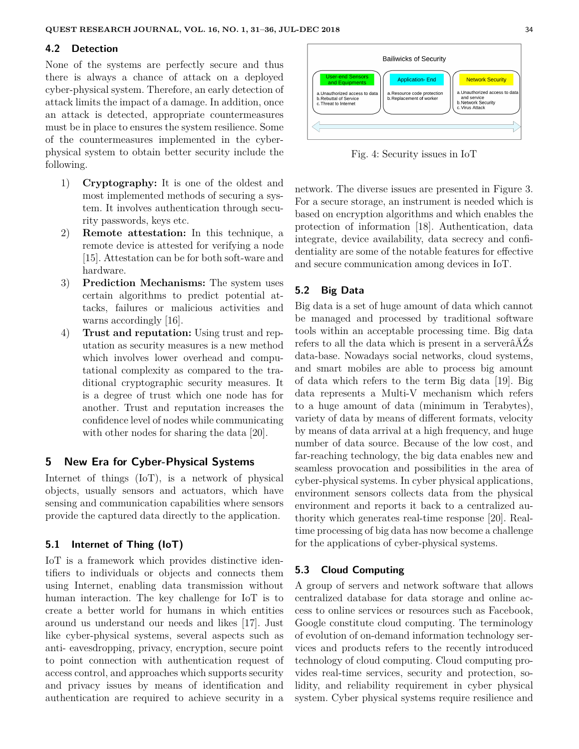#### **4.2 Detection**

None of the systems are perfectly secure and thus there is always a chance of attack on a deployed cyber-physical system. Therefore, an early detection of attack limits the impact of a damage. In addition, once an attack is detected, appropriate countermeasures must be in place to ensures the system resilience. Some of the countermeasures implemented in the cyberphysical system to obtain better security include the following.

- 1) **Cryptography:** It is one of the oldest and most implemented methods of securing a system. It involves authentication through security passwords, keys etc.
- 2) **Remote attestation:** In this technique, a remote device is attested for verifying a node [15]. Attestation can be for both soft-ware and hardware.
- 3) **Prediction Mechanisms:** The system uses certain algorithms to predict potential attacks, failures or malicious activities and warns accordingly [16].
- 4) **Trust and reputation:** Using trust and reputation as security measures is a new method which involves lower overhead and computational complexity as compared to the traditional cryptographic security measures. It is a degree of trust which one node has for another. Trust and reputation increases the confidence level of nodes while communicating with other nodes for sharing the data [20].

## **5 New Era for Cyber-Physical Systems**

Internet of things (IoT), is a network of physical objects, usually sensors and actuators, which have sensing and communication capabilities where sensors provide the captured data directly to the application.

#### **5.1 Internet of Thing (IoT)**

IoT is a framework which provides distinctive identifiers to individuals or objects and connects them using Internet, enabling data transmission without human interaction. The key challenge for IoT is to create a better world for humans in which entities around us understand our needs and likes [17]. Just like cyber-physical systems, several aspects such as anti- eavesdropping, privacy, encryption, secure point to point connection with authentication request of access control, and approaches which supports security and privacy issues by means of identification and authentication are required to achieve security in a



Fig. 4: Security issues in IoT

network. The diverse issues are presented in Figure 3. For a secure storage, an instrument is needed which is based on encryption algorithms and which enables the protection of information [18]. Authentication, data integrate, device availability, data secrecy and confidentiality are some of the notable features for effective and secure communication among devices in IoT.

### **5.2 Big Data**

Big data is a set of huge amount of data which cannot be managed and processed by traditional software tools within an acceptable processing time. Big data refers to all the data which is present in a serverâĂŹs data-base. Nowadays social networks, cloud systems, and smart mobiles are able to process big amount of data which refers to the term Big data [19]. Big data represents a Multi-V mechanism which refers to a huge amount of data (minimum in Terabytes), variety of data by means of different formats, velocity by means of data arrival at a high frequency, and huge number of data source. Because of the low cost, and far-reaching technology, the big data enables new and seamless provocation and possibilities in the area of cyber-physical systems. In cyber physical applications, environment sensors collects data from the physical environment and reports it back to a centralized authority which generates real-time response [20]. Realtime processing of big data has now become a challenge for the applications of cyber-physical systems.

#### **5.3 Cloud Computing**

A group of servers and network software that allows centralized database for data storage and online access to online services or resources such as Facebook, Google constitute cloud computing. The terminology of evolution of on-demand information technology services and products refers to the recently introduced technology of cloud computing. Cloud computing provides real-time services, security and protection, solidity, and reliability requirement in cyber physical system. Cyber physical systems require resilience and